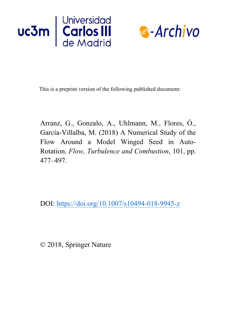



This is a preprint version of the following published document:

Arranz, G., Gonzalo, A., Uhlmann, M., Flores, Ó., García-Villalba, M. (2018) A Numerical Study of the Flow Around a Model Winged Seed in Auto-Rotation. *Flow, Turbulence and Combustion*, 101, pp. 477–497.

DOI: <https://doi.org/10.1007/s10494-018-9945-z>

© 2018, Springer Nature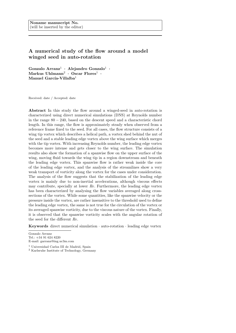# A numerical study of the flow around a model winged seed in auto-rotation

Gonzalo Arranz<sup>1</sup> · Alejandro Gonzalo<sup>1</sup> ·  $\mathrm{Markus}\;\mathrm{Uhlmann}^2\,\cdot\, \mathrm{Oscar}\;\mathrm{Flores}^1\,\cdot$ Manuel García-Villalba $^1$ 

Received: date / Accepted: date

Abstract In this study the flow around a winged-seed in auto-rotation is characterized using direct numerical simulations (DNS) at Reynolds number in the range  $80 - 240$ , based on the descent speed and a characteristic chord length. In this range, the flow is approximately steady when observed from a reference frame fixed to the seed. For all cases, the flow structure consists of a wing tip vortex which describes a helical path, a vortex shed behind the nut of the seed and a stable leading edge vortex above the wing surface which merges with the tip vortex. With increasing Reynolds number, the leading edge vortex becomes more intense and gets closer to the wing surface. The simulation results also show the formation of a spanwise flow on the upper surface of the wing, moving fluid towards the wing tip in a region downstream and beneath the leading edge vortex. This spanwise flow is rather weak inside the core of the leading edge vortex, and the analysis of the streamlines show a very weak transport of vorticity along the vortex for the cases under consideration. The analysis of the flow suggests that the stabilization of the leading edge vortex is mainly due to non-inertial accelerations, although viscous effects may contribute, specially at lower Re. Furthermore, the leading edge vortex has been characterized by analysing the flow variables averaged along crosssections of the vortex. While some quantities, like the spanwise velocity or the pressure inside the vortex, are rather insensitive to the threshold used to define the leading edge vortex, the same is not true for the circulation of the vortex or its averaged spanwise vorticity, due to the viscous nature of the vortex. Finally, it is observed that the spanwise vorticity scales with the angular rotation of the seed for the different Re.

Keywords direct numerical simulation · auto-rotation · leading edge vortex

Gonzalo Arranz Tel.: +34 91 624 8220 E-mail: garranz@ing.uc3m.com

<sup>1</sup> Universidad Carlos III de Madrid, Spain

<sup>2</sup> Karlsruhe Institute of Technology, Germany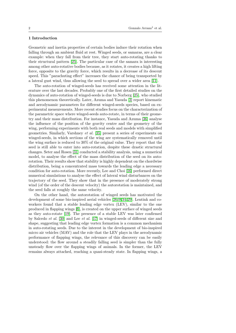## 1 Introduction

Geometric and inertia properties of certain bodies induce their rotation when falling through an ambient fluid at rest. Winged seeds, or samaras, are a clear example: when they fall from their tree, they start auto-rotating thanks to their structural pattern [\[25\]](#page-23-0). The particular case of the samara is interesting among other auto-rotative bodies because, as it rotates, it creates a high lifting force, opposite to the gravity force, which results in a decrease of its descent speed. This "parachuting effect" increases the chance of being transported by a lateral gust wind, thus allowing the seed to spread over a wider area [\[11\]](#page-23-1).

The auto-rotation of winged-seeds has received some attention in the literature over the last decades. Probably one of the first detailed studies on the dynamics of auto-rotation of winged-seeds is due to Norberg [\[25\]](#page-23-0), who studied this phenomenon theoretically. Later, Azuma and Yasuda [\[3\]](#page-22-0) report kinematic and aerodynamic parameters for different winged-seeds species, based on experimental measurements. More recent studies focus on the characterization of the parametric space where winged-seeds auto-rotate, in terms of their geometry and their mass distribution. For instance, Yasuda and Azuma [\[36\]](#page-24-0) analyse the influence of the position of the gravity centre and the geometry of the wing, performing experiments with both real seeds and models with simplified geometries. Similarly, Varshney et al. [\[35\]](#page-24-1) present a series of experiments on winged-seeds, in which sections of the wing are systematically removed until the wing surface is reduced to 30% of the original value. They report that the seed is still able to enter into auto-rotation, despite these drastic structural changes. Seter and Rosen [\[31\]](#page-24-2) conducted a stability analysis, using a numerical model, to analyse the effect of the mass distribution of the seed on its autorotation. Their results show that stability is highly dependent on the chordwise distribution, being a concentrated mass towards the leading edge a necessary condition for auto-rotation. More recently, Lee and Choi [\[16\]](#page-23-2) performed direct numerical simulations to analyse the effect of lateral wind disturbances on the trajectory of the seed. They show that in the presence of moderately strong wind (of the order of the descent velocity) the autorotation is maintained, and the seed falls at roughly the same velocity.

On the other hand, the autorotation of winged seeds has motivated the development of some bio-inspired aerial vehicles [\[26,](#page-23-3) [9,](#page-23-4)[34,](#page-24-3) [29\]](#page-24-4). Lentink and coworkers found that a stable leading edge vortex (LEV), similar to the one produced in flapping wings [\[8\]](#page-23-5), is created on the upper surface of winged seeds as they auto-rotate [\[19\]](#page-23-6). The presence of a stable LEV was later confirmed by Salcedo et al. [\[30\]](#page-24-5) and Lee et al. [\[17\]](#page-23-7) in winged-seeds of different size and shape, suggesting that leading edge vortex formation is a common mechanism in auto-rotating seeds. Due to the interest in the development of bio-inspired micro air vehicles (MAV) and the role that the LEV plays in the aerodynamic performance of flapping wings, the relevance of this discovery can be easily understood: the flow around a steadily falling seed is simpler than the fully unsteady flow over the flapping wings of animals. In the former, the LEV remains always attached, reaching a quasi-steady state. In flapping wings, a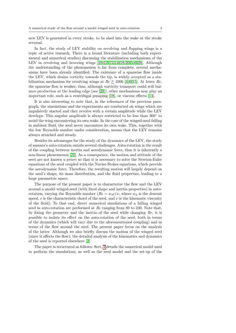new LEV is generated in every stroke, to be shed into the wake at the stroke reversal.

In fact, the study of LEV stability on revolving and flapping wings is a topic of active research. There is a broad literature (including both experimental and numerical studies) discussing the stabilization mechanisms of the LEV in revolving and hovering wings [\[10,](#page-23-8) [12,](#page-23-9)[15,](#page-23-10) [14,](#page-23-11) [18,](#page-23-12)[20,](#page-23-13) [5,](#page-23-14)[6,](#page-23-15) [28\]](#page-23-16). Although the understanding of the phenomenon is far from complete, several mechanisms have been already identified. The existence of a spanwise flow inside the LEV, which drains vorticity towards the tip, is widely accepted as a stabilization mechanism for revolving wings at  $Re \gtrsim 1000$  [\[4,](#page-22-1)6,[15\]](#page-23-10). At lower  $Re$ , the spanwise flow is weaker; thus, although vorticity transport could still balance production at the leading edge (see [\[28\]](#page-23-16)), other mechanisms may play an important role, such as a centrifugal pumping [\[18\]](#page-23-12), or viscous effects [\[14\]](#page-23-11).

It is also interesting to note that, in the references of the previous paragraph, the simulations and the experiments are conducted on wings which are impulsively started and they revolve with a certain amplitude while the LEV develops. This angular amplitude is always restricted to be less than 360◦ to avoid the wing encountering its own wake. In the case of the winged-seed falling in ambient fluid, the seed never encounters its own wake. This, together with the low Reynolds number under consideration, means that the LEV remains always attached and steady.

Besides its advantages for the study of the dynamics of the LEV, the study of samara's auto-rotation entails several challenges. Auto-rotation is the result of the coupling between inertia and aerodynamic force, thus it is inherently a non-linear phenomenon [\[21\]](#page-23-17). As a consequence, the motion and attitude of the seed are not known a priori so that it is necessary to solve the Newton-Euler equations of the seed coupled with the Navier-Stokes equations, which provide the aerodynamic force. Therefore, the resulting motion will largely depend on the seed's shape, its mass distribution, and the fluid properties, leading to a large parametric space.

The purpose of the present paper is to characterize the flow and the LEV around a model winged-seed (with fixed shape and inertia properties) in autorotation, varying the Reynolds number ( $Re = w_d c/\nu$ , where  $w_d$  is the descent speed, c is the characteristic chord of the seed, and  $\nu$  is the kinematic viscosity of the fluid). To that end, direct numerical simulations of a falling winged seed in auto-rotation are performed at Re ranging from 80 to 240. Note that, by fixing the geometry and the inertia of the seed while changing Re, it is possible to isolate its effect on the auto-rotation of the seed, both in terms of the dynamics (which will vary due to the aforementioned coupling) and in terms of the flow around the seed. The present paper focus on the analysis of the latter. Although we also briefly discuss the motion of the winged seed (since it affects the flow), the detailed analysis of the kinematics and dynamics of the seed is reported elsewhere [\[2\]](#page-22-2).

The paper is structured as follows: Sect. [2](#page-4-0) details the numerical model used to perform the simulations, as well as the seed model and the set-up of the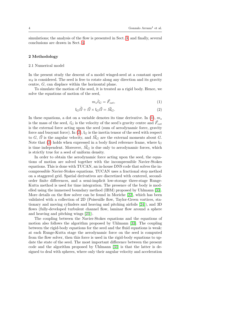simulations; the analysis of the flow is presented in Sect. [3;](#page-6-0) and finally, several conclusions are drawn in Sect. [4.](#page-21-0)

#### <span id="page-4-0"></span>2 Methodology

# 2.1 Numerical model

In the present study the descent of a model winged-seed at a constant speed  $w<sub>d</sub>$  is considered. The seed is free to rotate along any direction and its gravity centre, G, can displace within the horizontal plane.

To simulate the motion of the seed, it is treated as a rigid body. Hence, we solve the equations of motion of the seed,

<span id="page-4-2"></span><span id="page-4-1"></span>
$$
m_s \dot{\vec{v}}_G = \vec{F}_{ext},\tag{1}
$$

$$
I_G \dot{\vec{\Omega}} + \vec{\Omega} \times I_G \vec{\Omega} = \vec{M}_G.
$$
 (2)

In these equations, a dot on a variable denotes its time derivative. In  $(1), m_s$  $(1), m_s$ is the mass of the seed,  $\vec{v}_G$  is the velocity of the seed's gravity centre and  $\vec{F}_{ext}$ is the external force acting upon the seed (sum of aerodynamic force, gravity force and buoyant force). In [\(2\)](#page-4-2),  $I_G$  is the inertia tensor of the seed with respect to G,  $\vec{\Omega}$  is the angular velocity, and  $\vec{M}_G$  are the external moments about G. Note that [\(2\)](#page-4-2) holds when expressed in a body fixed reference frame, where  $I_G$ is time independent. Moreover,  $\vec{M}_G$  is due only to aerodynamic forces, which is strictly true for a seed of uniform density.

In order to obtain the aerodynamic force acting upon the seed, the equations of motion are solved together with the incompressible Navier-Stokes equations. This is done with TUCAN, an in-house DNS code that solves the incompressible Navier-Stokes equations. TUCAN uses a fractional step method on a staggered grid. Spatial derivatives are discretized with centered, secondorder finite differences, and a semi-implicit low-storage three-stage Runge-Kutta method is used for time integration. The presence of the body is modelled using the immersed boundary method (IBM) proposed by Uhlmann [\[33\]](#page-24-6). More details on the flow solver can be found in Moriche [\[22\]](#page-23-18), which has been validated with a collection of 2D (Poiseuille flow, Taylor-Green vortices, stationary and moving cylinders and heaving and pitching airfoils [\[24\]](#page-23-19)), and 3D flows (fully-developed turbulent channel flow, laminar flow around a sphere and heaving and pitching wings [\[23\]](#page-23-20)).

The coupling between the Navier-Stokes equations and the equations of motion also follows the algorithm proposed by Uhlmann [\[33\]](#page-24-6). The coupling between the rigid-body equations for the seed and the fluid equations is weak: at each Runge-Kutta stage the aerodynamic force on the seed is computed from the flow solver, then this force is used in the rigid-body equations to update the state of the seed. The most important difference between the present code and the algorithm proposed by Uhlmann [\[33\]](#page-24-6) is that the latter is designed to deal with spheres, where only their angular velocity and acceleration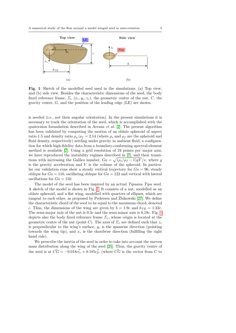<span id="page-5-0"></span>

Fig. 1: Sketch of the modelled seed used in the simulations. (a) Top view, and (b) side view. Besides the characteristic dimensions of the seed, the body fixed reference frame,  $\Sigma_c$  ( $x_c, y_c, z_c$ ), the geometric centre of the nut, C, the gravity centre,  $G$ , and the position of the leading edge (LE) are shown.

is needed (i.e., not their angular orientation). In the present simulations it is necessary to track the orientation of the seed, which is accomplished with the quaternion formulation described in Arranz et al. [\[2\]](#page-22-2). The present algorithm has been validated by computing the motion of an oblate spheroid of aspect ratio 1.5 and density ratio  $\rho_s/\rho_f = 2.14$  (where  $\rho_s$  and  $\rho_f$  are the spheroid and fluid density, respectively) settling under gravity in ambient fluid, a configuration for which high-fidelity data from a boundary-conforming spectral-element method is available [\[7\]](#page-23-21). Using a grid resolution of 24 points per major axis, we have reproduced the instability regimes described in [\[7\]](#page-23-21), and their transitions with increasing the Galileo number,  $Ga = \sqrt{(\rho_s/\rho_f - 1)gV}/\nu$ , where g is the gravity acceleration and  $V$  is the volume of the spheroid. In particular our validation runs show a steady vertical trajectory for  $Ga = 96$ , steady oblique for  $Ga = 110$ , oscillating oblique for  $Ga = 122$  and vertical with lateral oscillations for  $Ga = 150$ .

The model of the seed has been inspired by an actual *Tipuana Tipu* seed. A sketch of the model is shown in Fig. [1.](#page-5-0) It consists of a nut, modelled as an oblate spheroid, and a flat wing, modelled with quarters of ellipses, which are tangent to each other, as proposed by Pedersen and Zbikowski  $[27]$ . We define the characteristic chord of the seed to be equal to the maximum chord, denoted c. Thus, the dimensions of the wing are given by  $b = 1.9c$  and  $b_{TE} = 1.32c$ . The semi-major axis of the nut is 0.3c and the semi-minor axis is 0.18c. Fig. [1](#page-5-0) depicts also the body fixed reference frame  $\Sigma_c$ , whose origin is located at the geometric centre of the nut (point C). The axes of  $\Sigma_c$  are defined such that  $z_c$ is perpendicular to the wing's surface,  $y_c$  is the spanwise direction (pointing towards the wing tip), and  $x_c$  is the chordwise direction (fulfilling the right hand rule).

We prescribe the inertia of the seed in order to take into account the uneven mass distribution along the wing of the seed [\[25\]](#page-23-0). Thus, the gravity centre of the seed is at  $\vec{CG} = -0.018\vec{ci_c} + 0.185\vec{cj_c}$  (where  $\vec{CG}$  is the vector from C to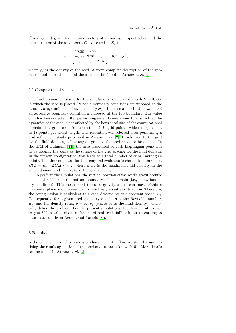,

G and  $\vec{i}_c$  and  $\vec{j}_c$  are the unitary vectors of  $x_c$  and  $y_c$ , respectively); and the inertia tensor of the seed about C expressed in  $\Sigma_c$  is:

$$
I_C = \begin{bmatrix} 19.26 & -0.99 & 0 \\ -0.99 & 3.20 & 0 \\ 0 & 0 & 21.57 \end{bmatrix} \cdot 10^{-3} \rho_s c^5
$$

where  $\rho_s$  is the density of the seed. A more complete description of the geometric and inertial model of the seed can be found in Arranz et al. [\[2\]](#page-22-2).

## 2.2 Computational set-up

The fluid domain employed for the simulations is a cube of length  $L = 10.66c$ in which the seed is placed. Periodic boundary conditions are imposed at the lateral walls, a uniform inflow of velocity  $w_d$  is imposed at the bottom wall, and an advective boundary condition is imposed at the top boundary. The value of L has been selected after performing several simulations to ensure that the dynamics of the seed is not affected by the horizontal size of the computational domain. The grid resolution consists of  $512<sup>3</sup>$  grid points, which is equivalent to 48 points per chord length. The resolution was selected after performing a grid refinement study presented in Arranz et al. [\[2\]](#page-22-2). In addition to the grid for the fluid domain, a Lagrangian grid for the seed needs to be defined. In the IBM of Uhlmann [\[33\]](#page-24-6), the area associated to each Lagrangian point has to be roughly the same as the square of the grid spacing for the fluid domain. In the present configuration, this leads to a total number of 5674 Lagrangian points. The time step,  $\Delta t$ , for the temporal evolution is chosen to ensure that  $CFL = u_{max} \Delta t / \Delta \leq 0.2$ , where  $u_{max}$  is the maximum fluid velocity in the whole domain and  $\Delta = c/48$  is the grid spacing.

To perform the simulations, the vertical position of the seed's gravity centre is fixed at 3.66c from the bottom boundary of the domain (i.e., inflow boundary condition). This means that the seed gravity centre can move within a horizontal plane and the seed can rotate freely about any direction. Therefore, the configuration is equivalent to a seed descending at a constant speed  $w_d$ . Consequently, for a given seed geometry and inertia, the Reynolds number, *Re*, and the density ratio,  $\rho = \rho_s/\rho_f$  (where  $\rho_f$  is the fluid density), univocally define the problem. For the present simulations, the density ratio is set to  $\rho = 300$ , a value close to the one of real seeds falling in air (according to data extracted from Azuma and Yasuda [\[3\]](#page-22-0)).

## <span id="page-6-0"></span>3 Results

Although the aim of this work is to characterize the flow, we start by summarizing the resulting motion of the seed and its variation with Re. More details can be found in Arranz et al. [\[2\]](#page-22-2).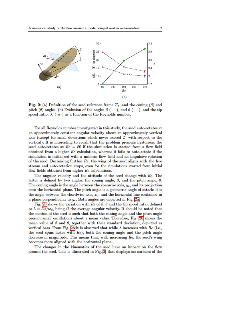<span id="page-7-0"></span>

Fig. 2: (a) Definition of the seed reference frame  $\Sigma_c$ , and the coning ( $\beta$ ) and pitch ( $\theta$ ) angles. (b) Evolution of the angles  $\beta$  (---), and  $\theta$  (---), and the tip speed ratio,  $\lambda$ , (- $\bullet$ -) as a function of the Reynolds number.

For all Reynolds number investigated in this study, the seed auto-rotates at an approximately constant angular velocity about an approximately vertical axis (except for small deviations which never exceed  $2^{\circ}$  with respect to the vertical). It is interesting to recall that the problem presents hysteresis: the seed auto-rotates at  $Re = 80$  if the simulation is started from a flow field obtained from a higher  $Re$  calculation, whereas it fails to auto-rotate if the simulation is initialized with a uniform flow field and an impulsive rotation of the seed. Decreasing further  $Re$ , the wing of the seed aligns with the free stream and auto-rotation stops, even for the simulations started from initial flow fields obtained from higher  $Re$  calculations.

The angular velocity and the attitude of the seed change with Re. The latter is defined by two angles: the coning angle,  $\beta$ , and the pitch angle,  $\theta$ . The coning angle is the angle between the spanwise axis,  $y_c$ , and its projection onto the horizontal plane. The pitch angle is a geometric angle of attack: it is the angle between the chordwise axis,  $x_c$ , and the horizontal line contained in a plane perpendicular to  $y_c$ . Both angles are depicted in Fig. 2a.

Fig. 2b shows the variation with Re of  $\beta$ ,  $\theta$  and the tip speed ratio, defined as  $\lambda = \Omega b/w_d$ , being  $\Omega$  the average angular velocity. It should be noted that the motion of the seed is such that both the coning angle and the pitch angle present small oscillations about a mean value. Therefore, Fig. 2b shows the mean value of  $\beta$  and  $\theta$ , together with their standard deviation, depicted as vertical bars. From Fig. 2b it is observed that while  $\lambda$  increases with Re (i.e., the seed spins faster with  $Re$ ), both the coning angle and the pitch angle decrease in magnitude. This means that, with increasing  $Re$ , the seed's wing becomes more aligned with the horizontal plane.

The changes in the kinematics of the seed have an impact on the flow around the seed. This is illustrated in Fig. 3, that displays iso-surfaces of the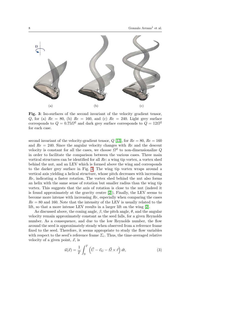<span id="page-8-0"></span>

Fig. 3: Iso-surfaces of the second invariant of the velocity gradient tensor, Q, for (a)  $Re = 80$ , (b)  $Re = 160$ , and (c)  $Re = 240$ . Light grey surface corresponds to  $Q = 0.75 \Omega^2$  and dark grey surface corresponds to  $Q = 12 \Omega^2$ for each case.

second invariant of the velocity-gradient tensor,  $Q$  [\[13\]](#page-23-23), for  $Re = 80$ ,  $Re = 160$ and  $Re = 240$ . Since the angular velocity changes with  $Re$  and the descent velocity is constant for all the cases, we choose  $\Omega^2$  to non-dimensionalize Q in order to facilitate the comparison between the various cases. Three main vortical structures can be identified for all Re: a wing tip vortex, a vortex shed behind the nut, and an LEV which is formed above the wing and corresponds to the darker grey surface in Fig. [3.](#page-8-0) The wing tip vortex wraps around a vertical axis yielding a helical structure, whose pitch decreases with increasing Re, indicating a faster rotation. The vortex shed behind the nut also forms an helix with the same sense of rotation but smaller radius than the wing tip vortex. This suggests that the axis of rotation is close to the nut (indeed it is found approximately at the gravity centre [\[2\]](#page-22-2)). Finally, the LEV seems to become more intense with increasing  $Re$ , especially when comparing the cases  $Re = 80$  and 160. Note that the intensity of the LEV is usually related to the lift, so that a more intense LEV results in a larger lift on the wing [\[2\]](#page-22-2).

As discussed above, the coning angle,  $\beta$ , the pitch angle,  $\theta$ , and the angular velocity remain approximately constant as the seed falls, for a given Reynolds number. As a consequence, and due to the low Reynolds number, the flow around the seed is approximately steady when observed from a reference frame fixed to the seed. Therefore, it seems appropriate to study the flow variables with respect to the seed's reference frame  $\Sigma_c$ . Thus, the time-averaged relative velocity of a given point,  $\vec{x}$ , is

<span id="page-8-1"></span>
$$
\vec{u}(\vec{x}) = \frac{1}{T} \int_0^T \left( \vec{U} - \vec{v}_G - \vec{\Omega} \times \vec{r} \right) dt,\tag{3}
$$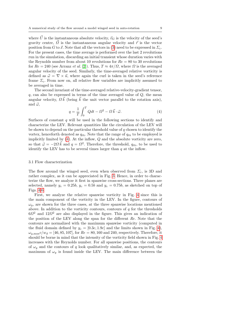where  $\vec{U}$  is the instantaneous absolute velocity,  $\vec{v}_G$  is the velocity of the seed's gravity centre,  $\vec{\Omega}$  is the instantaneous angular velocity and  $\vec{r}$  is the vector position from G to  $\vec{x}$ . Note that all the vectors in [\(3\)](#page-8-1) need to be expressed in  $\Sigma_c$ . For the present cases, the time average is performed over the last 2 revolutions run in the simulation, discarding an initial transient whose duration varies with the Reynolds number from about 10 revolutions for  $Re = 80$  to 30 revolutions for  $Re = 240$  (see Arranz *et al.* [\[2\]](#page-22-2)). Thus,  $T \approx 4\pi/\Omega$ , where  $\Omega$  is the averaged angular velocity of the seed. Similarly, the time-averaged relative vorticity is defined as  $\vec{\omega} = \nabla \times \vec{u}$ , where again the curl is taken in the seed's reference frame  $\Sigma_c$ . From now on, all relative flow variables are implicitly assumed to be averaged in time.

<span id="page-9-0"></span>The second invariant of the time-averaged relative-velocity-gradient tensor,  $q$ , can also be expressed in terms of the time averaged value of  $Q$ , the mean angular velocity,  $\Omega \vec{k}$  (being  $\vec{k}$  the unit vector parallel to the rotation axis), and  $\vec{\omega}$ ,

$$
q = \frac{1}{T} \int_0^T Q dt - \Omega^2 - \Omega \vec{k} \cdot \vec{\omega}.
$$
 (4)

Surfaces of constant  $q$  will be used in the following sections to identify and characterize the LEV. Relevant quantities like the circulation of the LEV will be shown to depend on the particular threshold value of  $q$  chosen to identify the vortex, henceforth denoted as  $q_{th}$ . Note that the range of  $q_{th}$  to be employed is implicitly limited by [\(4\)](#page-9-0). At the inflow, Q and the absolute vorticity are zero, so that  $\vec{\omega} = -2\Omega \vec{k}$  and  $q = \Omega^2$ . Therefore, the threshold,  $q_{th}$ , to be used to identify the LEV has to be several times larger than  $q$  at the inflow.

## 3.1 Flow characterization

The flow around the winged seed, even when observed from  $\Sigma_c$ , is 3D and rather complex, as it can be appreciated in Fig. [3.](#page-8-0) Hence, in order to characterize the flow, we analyze it first in spanwise cross-sections. Three planes are selected, namely  $y_c = 0.25b$ ,  $y_c = 0.5b$  and  $y_c = 0.75b$ , as sketched on top of Figs. [4-](#page-10-0)[6.](#page-12-0)

First, we analyze the relative spanwise vorticity in Fig. [4](#page-10-0) since this is the main component of the vorticity in the LEV. In the figure, contours of  $\omega_y$ , are shown for the three cases, at the three spanwise locations mentioned above. In addition to the vorticity contours, contours of  $q$  for the thresholds  $6\Omega^2$  and  $12\Omega^2$  are also displayed in the figure. This gives an indication of the position of the LEV along the span for the different Re. Note that the contours are normalized with the maximum spanwise vorticity (computed in the fluid domain defined by  $y_c = [0.3c, 1.9c]$  and the limits shown in Fig. [4\)](#page-10-0),  $\omega_{y,\text{max}}c/w_d = [46, 85, 107]$ , for  $Re = 80, 160$  and 240, respectively. Therefore, it should be borne in mind that the intensity of the vorticity field shown in Fig. [4](#page-10-0) increases with the Reynolds number. For all spanwise positions, the contours of  $\omega_y$  and the contours of q look qualitatively similar, and, as expected, the maximum of  $\omega_y$  is found inside the LEV. The main difference between the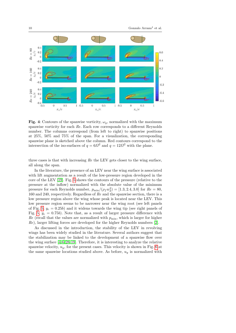<span id="page-10-0"></span>

Fig. 4: Contours of the spanwise vorticity,  $\omega_y$ , normalized with the maximum spanwise vorticity for each Re. Each row corresponds to a different Reynolds number. The columns correspond (from left to right) to spanwise positions at 25%, 50% and 75% of the span. For a visualization, the corresponding spanwise plane is sketched above the column. Red contours correspond to the intersection of the iso-surfaces of  $q = 6\Omega^2$  and  $q = 12\Omega^2$  with the plane.

three cases is that with increasing Re the LEV gets closer to the wing surface, all along the span.

In the literature, the presence of an LEV near the wing surface is associated with lift augmentation as a result of the low-pressure region developed in the core of the LEV [\[19\]](#page-23-6). Fig. [5](#page-11-0) shows the contours of the pressure (relative to the pressure at the inflow) normalized with the absolute value of the minimum pressure for each Reynolds number,  $p_{\min}/(\rho_f w_d^2) = [1.3, 2.4, 3.0]$  for  $Re = 80$ , 160 and 240, respectively. Regardless of Re and the spanwise section, there is a low pressure region above the wing whose peak is located near the LEV. This low pressure region seems to be narrower near the wing root (see left panels of Fig. [5,](#page-11-0)  $y_c = 0.25b$ ) and it widens towards the wing tip (see right panels of Fig. [5,](#page-11-0)  $y_c = 0.75b$ . Note that, as a result of larger pressure difference with  $Re$  (recall that the values are normalized with  $p_{\min}$ , which is larger for higher Re), larger lifting forces are developed for the higher Reynolds numbers [\[2\]](#page-22-2).

As discussed in the introduction, the stability of the LEV in revolving wings has been widely studied in the literature. Several authors suggest that the stabilization may be linked to the development of a spanwise flow over the wing surface [\[4,](#page-22-1)[6,](#page-23-15) [28,](#page-23-16) [19\]](#page-23-6). Therefore, it is interesting to analyze the relative spanwise velocity,  $u_y$ , for the present cases. This velocity is shown in Fig. [6](#page-12-0) at the same spanwise locations studied above. As before,  $u<sub>y</sub>$  is normalized with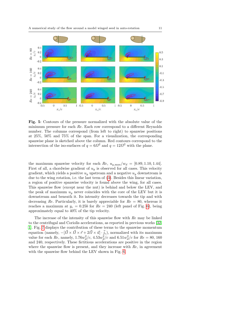<span id="page-11-0"></span>

Fig. 5: Contours of the pressure normalized with the absolute value of the minimum pressure for each Re. Each row correspond to a different Reynolds number. The columns correspond (from left to right) to spanwise positions at 25%, 50% and 75% of the span. For a visualization, the corresponding spanwise plane is sketched above the column. Red contours correspond to the intersection of the iso-surfaces of  $q = 6\Omega^2$  and  $q = 12\Omega^2$  with the plane.

the maximum spanwise velocity for each Re,  $u_{y,\text{max}}/w_d = [0.89, 1.10, 1.44]$ . First of all, a chordwise gradient of  $u_y$  is observed for all cases. This velocity gradient, which yields a positive  $u<sub>y</sub>$  upstream and a negative  $u<sub>y</sub>$  downstream is due to the wing rotation, i.e. the last term of [\(3\)](#page-8-1). Besides this linear variation, a region of positive spanwise velocity is found above the wing, for all cases. This spanwise flow (except near the nut) is behind and below the LEV, and the peak of maximum  $u_y$  never coincides with the core of the LEV but it is downstream and beneath it. Its intensity decreases towards the tip and with decreasing Re. Particularly, it is barely appreciable for  $Re = 80$ , whereas it reaches a maximum at  $y_c = 0.25b$  for  $Re = 240$  (left panel of Fig. [6\)](#page-12-0), being approximately equal to 40% of the tip velocity.

The increase of the intensity of this spanwise flow with Re may be linked to the centrifugal and Coriolis accelerations, as reported in previous works [\[32,](#page-24-7) [1\]](#page-22-3). Fig. [7](#page-13-0) displays the contribution of these terms to the spanwise momentum equation (namely,  $-[\vec{Q} \times \vec{Q} \times \vec{r} + 2\vec{Q} \times \vec{u}] \cdot \vec{j_c}$ ), normalized with its maximum value for each Re, namely,  $1.76w_d^2/c$ ,  $4.53w_d^2/c$  and  $6.51w_d^2/c$  for  $Re = 80$ , 160 and 240, respectively. These fictitious accelerations are positive in the region where the spanwise flow is present, and they increase with  $Re$ , in agreement with the spanwise flow behind the LEV shown in Fig. [6.](#page-12-0)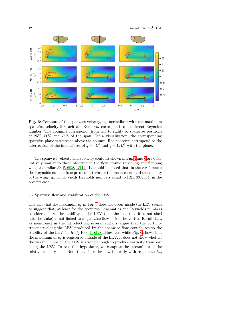<span id="page-12-0"></span>

Fig. 6: Contours of the spanwise velocity,  $u_y$ , normalized with the maximum spanwise velocity for each Re. Each row correspond to a different Reynolds number. The columns correspond (from left to right) to spanwise positions at 25%, 50% and 75% of the span. For a visualization, the corresponding spanwise plane is sketched above the column. Red contours correspond to the intersection of the iso-surfaces of  $q = 6\Omega^2$  and  $q = 12\Omega^2$  with the plane.

The spanwise velocity and vorticity contours shown in Fig. [4](#page-10-0) and [6](#page-12-0) are qualitatively similar to those observed in the flow around revolving and flapping wings at similar  $Re [5, 6, 28, 18, 12]$  $Re [5, 6, 28, 18, 12]$  $Re [5, 6, 28, 18, 12]$  $Re [5, 6, 28, 18, 12]$  $Re [5, 6, 28, 18, 12]$  $Re [5, 6, 28, 18, 12]$ . It should be noted that, in these references the Reynolds number is expressed in terms of the mean chord and the velocity of the wing tip, which yields Reynolds numbers equal to [121, 337, 584] in the present case.

#### 3.2 Spanwise flow and stabilization of the LEV

The fact that the maximum  $u_y$  in Fig. [6](#page-12-0) does not occur inside the LEV seems to suggest that, at least for the geometry, kinematics and Reynolds numbers considered here, the stability of the LEV (i.e., the fact that it is not shed into the wake) is not linked to a spanwise flow inside the vortex. Recall that, as mentioned in the introduction, several authors argue that the vorticity transport along the LEV produced by the spanwise flow contributes to the stability of the LEV for  $Re \ge 1000$  [\[4,](#page-22-1)6,28]. However, while Fig. [6](#page-12-0) shows that the maximum of  $u_y$  is registered outside of the LEV, it does not show whether the weaker  $u_y$  inside the LEV is strong enough to produce vorticity transport along the LEV. To test this hypothesis, we compute the streamlines of the relative velocity field. Note that, since the flow is steady with respect to  $\Sigma_c$ ,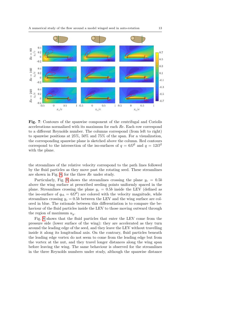<span id="page-13-0"></span>

Fig. 7: Contours of the spanwise component of the centrifugal and Coriolis accelerations normalized with its maximum for each Re. Each row correspond to a different Reynolds number. The columns correspond (from left to right) to spanwise positions at 25%, 50% and 75% of the span. For a visualization, the corresponding spanwise plane is sketched above the column. Red contours correspond to the intersection of the iso-surfaces of  $q = 6\Omega^2$  and  $q = 12\Omega^2$ with the plane.

the streamlines of the relative velocity correspond to the path lines followed by the fluid particles as they move past the rotating seed. These streamlines are shown in Fig. [8,](#page-14-0) for the three Re under study.

Particularly, Fig. [8](#page-14-0) shows the streamlines crossing the plane  $y_c = 0.5b$ above the wing surface at prescribed seeding points uniformly spaced in the plane. Streamlines crossing the plane  $y_c = 0.5b$  inside the LEV (defined as the iso-surface of  $q_{th} = 6\Omega^2$ ) are colored with the velocity magnitude, while streamlines crossing  $y_c = 0.5b$  between the LEV and the wing surface are colored in blue. The rationale between this differentiation is to compare the behaviour of the fluid particles inside the LEV to those moving outward through the region of maximum  $u_y$ .

Fig. [8](#page-14-0) shows that the fluid particles that enter the LEV come from the pressure side (lower surface of the wing): they are accelerated as they turn around the leading edge of the seed, and they leave the LEV without travelling inside it along its longitudinal axis. On the contrary, fluid particles beneath the leading edge vortex do not seem to come from the leading edge but from the vortex at the nut, and they travel longer distances along the wing span before leaving the wing. The same behaviour is observed for the streamlines in the three Reynolds numbers under study, although the spanwise distance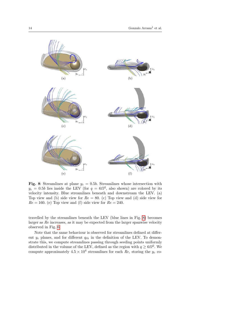<span id="page-14-0"></span>

Fig. 8: Streamlines at plane  $y_c = 0.5b$ . Streamlines whose intersection with  $y_c = 0.5b$  lies inside the LEV (for  $q = 6\Omega^2$ , also shown) are colored by its velocity intensity. Blue streamlines beneath and downstream the LEV. (a) Top view and (b) side view for  $Re = 80$ . (c) Top view and (d) side view for  $Re = 160$ . (e) Top view and (f) side view for  $Re = 240$ .

travelled by the streamlines beneath the LEV (blue lines in Fig. [8\)](#page-14-0) becomes larger as Re increases, as it may be expected from the larger spanwise velocity observed in Fig. [6.](#page-12-0)

Note that the same behaviour is observed for streamlines defined at different  $y_c$  planes, and for different  $q_{th}$  in the definition of the LEV. To demonstrate this, we compute streamlines passing through seeding points uniformly distributed in the volume of the LEV, defined as the region with  $q \geq 6\Omega^2$ . We compute approximately  $4.5 \times 10^4$  streamlines for each Re, storing the  $y_c$  co-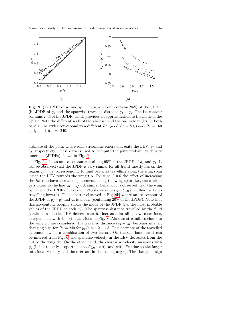<span id="page-15-0"></span>

Fig. 9: (a) JPDF of  $y_0$  and  $y_f$ . The iso-contour contains 95% of the JPDF. (b) JPDF of  $y_0$  and the spanwise travelled distance  $y_f - y_0$ . The iso-contour contains 20% of the JPDF, which provides an approximation to the mode of the JPDF. Note the different scale of the abscissa and the ordinate in (b). In both panels, line styles correspond to a different Re:  $(--)$  Re = 80,  $(--)$  Re = 160 and,  $(-)$   $Re = 240$ .

ordinate of the point where each streamline enters and exits the LEV,  $y_0$  and  $y_f$ , respectively. These data is used to compute the joint probability density functions (JPDFs) shown in Fig. [9.](#page-15-0)

Fig. [9a](#page-15-0) shows an iso-contour containing 95% of the JPDF of  $y_0$  and  $y_f$ . It can be observed that the JPDF is very similar for all Re. It mostly lies on the region  $y_f > y_0$ , corresponding to fluid particles travelling along the wing span inside the LEV towards the wing tip. For  $y_0/c \lesssim 0.6$  the effect of increasing the Re is to have shorter displacements along the wing span (i.e., the contour gets closer to the line  $y_0 = y_f$ . A similar behaviour is observed near the wing tip, where the JPDF of case  $Re = 240$  shows values  $y_f < y_0$  (i.e., fluid particles travelling inward). This is better observed in Fig. [9b,](#page-15-0) where an iso-contour of the JPDF of  $y_f - y_0$  and  $y_0$  is shown (containing 20% of the JPDF). Note that this iso-contour roughly shows the mode of the JPDF (i.e. the most probable values of the JPDF at each  $y_0$ ). The spanwise distance travelled by the fluid particles inside the LEV decreases as Re increases for all spanwise sections, in agreement with the visualizations in Fig. [8.](#page-14-0) Also, as streamlines closer to the wing tip are considered, the travelled distance  $(y_f - y_0)$  becomes smaller, changing sign for  $Re = 240$  for  $y_0/c \approx 1.2 - 1.3$ . This decrease of the travelled distance may be a combination of two factors. On the one hand, as it can be inferred from Fig. [6,](#page-12-0) the spanwise velocity in the LEV decreases from the nut to the wing tip. On the other hand, the chordwise velocity increases with  $y_0$  (being roughly proportional to  $\Omega y_0 \cos \beta$ ), and with Re (due to the larger rotational velocity and the decrease in the coning angle). The change of sign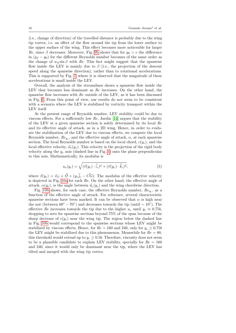(i.e., change of direction) of the travelled distance is probably due to the wing tip vortex, i.e. an effect of the flow around the tip from the lower surface to the upper surface of the wing. This effect becomes more noticeable for larger Re, since  $\beta$  decreases. Moreover, Fig. [9b](#page-15-0) shows that for  $y_0 > c$  the difference in  $(y_f - y_0)$  for the different Reynolds number becomes of the same order as the change of  $w_d \sin \beta$  with Re. This fact might suggest that the spanwise flow inside the LEV is mainly due to  $\beta$  (i.e., the projection of the descent speed along the spanwise direction), rather than to rotational accelerations. This is supported by Fig. [7,](#page-13-0) where it is observed that the magnitude of these accelerations is small inside the LEV.

Overall, the analysis of the streamlines shows a spanwise flow inside the LEV that becomes less dominant as Re increases. On the other hand, the spanwise flow increases with  $Re$  outside of the LEV, as it has been discussed in Fig. [6.](#page-12-0) From this point of view, our results do not seem to be consistent with a scenario where the LEV is stabilized by vorticity transport within the LEV itself.

At the present range of Reynolds number, LEV stability could be due to viscous effects. For a sufficiently low  $Re$ , Jardin [\[14\]](#page-23-11) argues that the stability of the LEV at a given spanwise section is solely determined by its local Re and its effective angle of attack, as in a 2D wing. Hence, in order to evaluate the stabilization of the LEV due to viscous effects, we compute the local Reynolds number,  $Re_{y_c}$ , and the effective angle of attack,  $\alpha$ , at each spanwise section. The local Reynolds number is based on the local chord,  $c(y_c)$ , and the local effective velocity,  $\vec{u}_e(y_c)$ . This velocity is the projection of the rigid body velocity along the  $y_c$  axis (dashed line in Fig. [1\)](#page-5-0) onto the plane perpendicular to this axis. Mathematically, its modulus is

$$
u_e(y_c) = \sqrt{(\vec{v}(y_c) \cdot \vec{i}_c)^2 + (\vec{v}(y_c) \cdot \vec{k}_c)^2},\tag{5}
$$

where  $\vec{v}(y_c) = \vec{v}_G + \vec{\Omega} \times (y_c \vec{j}_c - \vec{CG})$ . The modulus of the effective velocity is depicted in Fig. [10a](#page-17-0) for each Re. On the other hand, the effective angle of attack,  $\alpha(y_c)$ , is the angle between  $\vec{u}_e(y_c)$  and the wing chordwise direction.

Fig. [10b](#page-17-0) shows, for each case, the effective Reynolds number,  $Re_{y_c}$ , as a function of the effective angle of attack. For reference, several characteristic spanwise sections have been marked. It can be observed that  $\alpha$  is high near the nut (between  $60^{\circ} - 70^{\circ}$ ) and decreases towards the tip (until  $\sim 10^{\circ}$ ). The effective Re increases towards the tip due to the higher  $u_e$  until  $y_c \approx 0.75b$ , dropping to zero for spanwise sections beyond 75% of the span because of the sharp decrease of  $c(y_c)$  near the wing tip. The region below the dashed line in Fig. [10b](#page-17-0) would correspond to the spanwise sections whose LEV might be stabilized by viscous effects. Hence, for  $Re = 160$  and 240, only for  $y_c \ge 0.75b$ the LEV might be stabilized due to this phenomenon. Meanwhile for  $Re = 80$ , this threshold would extend up to  $y_c \geq 0.5b$ . Therefore, viscosity does not seem to be a plausible candidate to explain LEV stability, specially for  $Re = 160$ and 240, since it would only be dominant near the tip, where the LEV has tilted and merged with the wing tip vortex.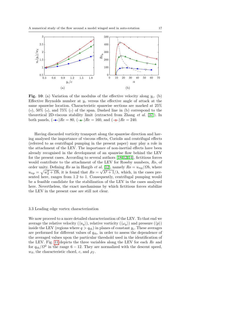<span id="page-17-0"></span>

Fig. 10: (a) Variation of the modulus of the effective velocity along  $y_c$ . (b) Effective Reynolds number at  $y_c$  versus the effective angle of attack at the same spanwise location. Characteristic spanwise sections are marked at 25%  $(\sigma)$ , 50% (+), and 75% ( $\sigma$ ) of the span. Dashed line in (b) correspond to the theoretical 2D-viscous stability limit (extracted from Zhang et al. [\[37\]](#page-24-8)). In both panels,  $(-\rightarrow)Re = 80$ ,  $(-\rightarrow)Re = 160$ , and  $(-\rightarrow)Re = 240$ .

Having discarded vorticity transport along the spanwise direction and having analysed the importance of viscous effects, Coriolis and centrifugal effects (referred to as centrifugal pumping in the present paper) may play a role in the attachment of the LEV. The importance of non-inertial effects have been already recognised in the development of an spanwise flow behind the LEV for the present cases. According to several authors [\[18,](#page-23-12) [12,](#page-23-9) [14\]](#page-23-11), fictitious forces would contribute to the attachment of the LEV for Rossby numbers, Ro, of order unity. Defining Ro as in Hargib et al. [\[12\]](#page-23-9), namely  $Ro = u_{tip}/\Omega b$ , where  $u_{tip} = \sqrt{w_d^2 + \Omega b}$ , it is found that  $Ro = \sqrt{\lambda^2 + 1}/\lambda$ , which, in the cases presented here, ranges from 1.2 to 1. Consequently, centrifugal pumping would be a feasible candidate for the stabilization of the LEV in the cases analysed here. Nevertheless, the exact mechanisms by which fictitious forces stabilize the LEV in the present case are still not clear.

#### 3.3 Leading edge vortex characterization

We now proceed to a more detailed characterization of the LEV. To that end we average the relative velocity  $(\langle u_y \rangle)$ , relative vorticity  $(\langle \omega_y \rangle)$  and pressure  $(\langle p \rangle)$ inside the LEV (regions where  $q > q_{th}$ ) in planes of constant  $y_c$ . These averages are performed for different values of  $q_{th}$ , in order to assess the dependence of the averaged values upon the particular threshold used in the identification of the LEV. Fig. [11](#page-18-0) depicts the three variables along the LEV for each Re and for  $q_{th}/\Omega^2$  in the range 6 – 12. They are normalized with the descent speed,  $w_d$ , the characteristic chord, c, and  $\rho_f$ .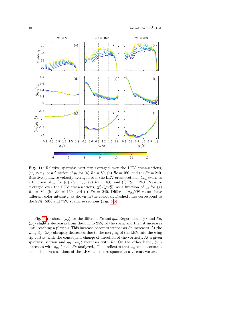<span id="page-18-0"></span>

Fig. 11: Relative spanwise vorticity averaged over the LEV cross-sections,  $\langle \omega_u \rangle_c/\omega_d$ , as a function of  $y_c$  for (a)  $Re = 80$ , (b)  $Re = 160$ , and (c)  $Re = 240$ . Relative spanwise velocity averaged over the LEV cross-sections,  $\langle u_y \rangle c/w_d$ , as a function of  $y_c$  for (d)  $Re = 80$ , (e)  $Re = 160$ , and (f)  $Re = 240$ . Pressure averaged over the LEV cross-sections,  $\langle p \rangle / (\rho w_d^2)$ , as a function of  $y_c$  for (g)  $Re = 80$ , (h)  $Re = 160$ , and (i)  $Re = 240$ . Different  $q_{th}/\Omega^2$  values have different color intensity, as shown in the colorbar. Dashed lines correspond to the  $25\%$ ,  $50\%$  and  $75\%$  spanwise sections (Fig. [4-](#page-10-0)[6\)](#page-12-0).

Fig. [11a](#page-18-0)-c shows  $\langle \omega_y \rangle$  for the different Re and  $q_{th}$ . Regardless of  $q_{th}$  and Re,  $\langle \omega_y \rangle$  slightly decreases from the nut to 25% of the span, and then it increases until reaching a plateau. This increase becomes steeper as Re increases. At the wing tip,  $\langle \omega_{\nu} \rangle$  abruptly decreases, due to the merging of the LEV into the wing tip vortex, with the consequent change of direction of the vorticity. At a given spanwise section and  $q_{th}$ ,  $\langle \omega_y \rangle$  increases with Re. On the other hand,  $\langle \omega_y \rangle$ increases with  $q_{th}$  for all Re analyzed., This indicates that  $\omega_y$  is not constant inside the cross sections of the LEV, as it corresponds to a viscous vortex.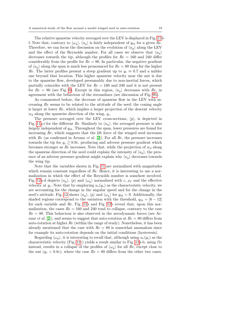The relative spanwise velocity averaged over the LEV is displayed in Fig. [11d](#page-18-0)f. Note that, contrary to  $\langle \omega_y \rangle$ ,  $\langle u_y \rangle$  is fairly independent of  $q_{th}$  for a given Re. Therefore, we can focus the discussion on the evolution of  $\langle u_y \rangle$  along the LEV and the effect of the Reynolds number. For all cases we observe that  $\langle u_n \rangle$ decreases towards the tip, although the profiles for  $Re = 160$  and 240 differ considerably from the profile for  $Re = 80$ . In particular, the negative gradient of  $\langle u_n \rangle$  along the span is much less pronounced for  $Re = 80$  than for the higher Re. The latter profiles present a steep gradient up to  $y_c \approx 0.7$  and a milder one beyond that location. This higher spanwise velocity near the nut is due to the spanwise flow, developed presumably due to non-inertial forces, which partially coincides with the LEV for  $Re = 160$  and 240 and it is not present for  $Re = 80$  (see Fig. [6\)](#page-12-0). Except in this region,  $\langle u_y \rangle$  decreases with Re, in agreement with the behaviour of the streamlines (see discussion of Fig. [9b\)](#page-15-0).

As commented before, the decrease of spanwise flow in the LEV with increasing Re seems to be related to the attitude of the seed: the coning angle is larger at lower Re, which implies a larger projection of the descent velocity  $w_d$  along the spanwise direction of the wing,  $y_c$ .

The pressure averaged over the LEV cross-sections,  $\langle p \rangle$ , is depicted in Fig. [11g](#page-18-0)-i for the different Re. Similarly to  $\langle u_u \rangle$ , the averaged pressure is also largely independent of  $q_{th}$ . Throughout the span, lower pressures are found for increasing Re, which suggests that the lift force of the winged seed increases with  $Re$  (as confirmed in Arranz *et al.* [\[2\]](#page-22-2)). For all  $Re$ , the pressure increases towards the tip for  $y_c \gtrsim 0.9c$ , producing and adverse pressure gradient which becomes stronger as Re increases. Note that, while the projection of  $w_d$  along the spanwise direction of the seed could explain the intensity of  $\langle u_y \rangle$ , the presence of an adverse pressure gradient might explain why  $\langle u_y \rangle$  decreases towards the wing tip.

Note that the variables shown in Fig. [11](#page-18-0) are normalized with magnitudes which remain constant regardless of Re. Hence, it is interesting to use a normalization in which the effect of the Reynolds number is somehow involved. Fig. [12a](#page-20-0)-d depicts  $\langle u_u \rangle$ ,  $\langle p \rangle$  and  $\langle \omega_u \rangle$  normalized with c,  $\rho_f$  and the effective velocity at  $y_c$ . Note that by employing  $u_e(y_c)$  as the characteristic velocity, we are accounting for the change in the angular speed and for the change in the seed's attitude. Fig. [12](#page-20-0) shows  $\langle u_y \rangle$ ,  $\langle p \rangle$  and  $\langle \omega_y \rangle$  for  $q_{th} = 9$ . Additionally, the shaded regions correspond to the variation with the threshold,  $q_{th} = [6 - 12]$ for each variable and Re. Fig. [12a](#page-20-0) and Fig. [12b](#page-20-0) reveal that, upon this normalization, the cases  $Re = 160$  and 240 tend to collapse, contrary to the case  $Re = 80$ . This behaviour is also observed in the aerodynamic forces (see Arranz *et al.* [\[2\]](#page-22-2)), and seems to suggest that auto-rotation at  $Re = 80$  differs from auto-rotation at higher  $Re$  (within the range of study). Nonetheless, it has been already mentioned that the case with  $Re = 80$  is somewhat anomalous since for example its auto-rotation depends on the initial conditions (hysteresis).

Regarding  $\langle \omega_y \rangle$ , it is interesting to recall that, although using  $u_e(y_c)$  as the characteristic velocity (Fig. [12c](#page-20-0)) yields a result similar to Fig. [12a](#page-20-0)-b, using  $\Omega c$ instead, results in a collapse of the profiles of  $\langle \omega_y \rangle$  for all Re, except close to the nut  $(y_c < 0.8c)$ , where the case  $Re = 80$  differs from the other two cases.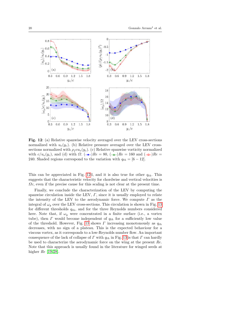<span id="page-20-0"></span>

Fig. 12: (a) Relative spanwise velocity averaged over the LEV cross-sections normalized with  $u_e(y_c)$ . (b) Relative pressure averaged over the LEV crosssections normalized with  $\rho_f c u_e(y_c)$ . (c) Relative spanwise vorticity normalized with  $c/u_e(y_c)$ , and (d) with  $\Omega$ . ( $\rightarrow R_e = 80$ , ( $\rightarrow R_e = 160$  and ( $\rightarrow R_e =$ 240. Shaded regions correspond to the variation with  $q_{th} = [6 - 12]$ .

This can be appreciated in Fig. [12d](#page-20-0), and it is also true for other  $q_{th}$ . This suggests that the characteristic velocity for chordwise and vertical velocities is  $\Omega_c$ , even if the precise cause for this scaling is not clear at the present time.

Finally, we conclude the characterization of the LEV by computing the spanwise circulation inside the LEV,  $\Gamma$ , since it is usually employed to relate the intensity of the LEV to the aerodynamic force. We compute  $\Gamma$  as the integral of  $\omega_y$  over the LEV cross-sections. This circulation is shown in Fig. [13](#page-21-1) for different thresholds  $q_{th}$ , and for the three Reynolds numbers considered here. Note that, if  $\omega_y$  were concentrated in a finite surface (i.e., a vortex tube), then  $\Gamma$  would become independent of  $q_{th}$  for a sufficiently low value of the threshold. However, Fig. [13](#page-21-1) shows  $\Gamma$  increasing monotonously as  $q_{th}$ decreases, with no sign of a plateau. This is the expected behaviour for a viscous vortex, as it corresponds to a low-Reynolds number flow. An important consequence of the lack of collapse of  $\Gamma$  with  $q_{th}$  in Fig. [13](#page-21-1) is that  $\Gamma$  can hardly be used to characterize the aerodynamic force on the wing at the present Re. Note that this approach is usually found in the literature for winged seeds at higher  $Re [19, 28]$  $Re [19, 28]$  $Re [19, 28]$ .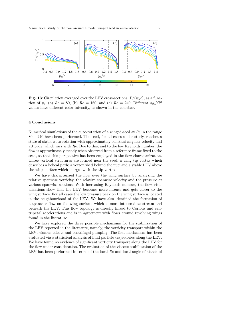<span id="page-21-1"></span>

Fig. 13: Circulation averaged over the LEV cross-sections,  $\Gamma/(w_d c)$ , as a function of  $y_c$ . (a)  $Re = 80$ , (b)  $Re = 160$ , and (c)  $Re = 240$ . Different  $q_{th}/\Omega^2$ values have different color intensity, as shown in the colorbar.

## <span id="page-21-0"></span>4 Conclusions

Numerical simulations of the auto-rotation of a winged-seed at  $Re$  in the range 80 − 240 have been performed. The seed, for all cases under study, reaches a state of stable auto-rotation with approximately constant angular velocity and attitude, which vary with Re. Due to this, and to the low Reynolds number, the flow is approximately steady when observed from a reference frame fixed to the seed, so that this perspective has been employed in the flow characterization. Three vortical structures are formed near the seed: a wing tip vortex which describes a helical path; a vortex shed behind the nut; and a stable LEV above the wing surface which merges with the tip vortex.

We have characterized the flow over the wing surface by analyzing the relative spanwise vorticity, the relative spanwise velocity and the pressure at various spanwise sections. With increasing Reynolds number, the flow visualizations show that the LEV becomes more intense and gets closer to the wing surface. For all cases the low pressure peak on the wing surface is located in the neighbourhood of the LEV. We have also identified the formation of a spanwise flow on the wing surface, which is more intense downstream and beneath the LEV. This flow topology is directly linked to Coriolis and centripetal accelerations and is in agreement with flows around revolving wings found in the literature.

We have explored the three possible mechanisms for the stabilization of the LEV reported in the literature, namely, the vorticity transport within the LEV, viscous effects and centrifugal pumping. The first mechanism has been evaluated via a statistical analysis of fluid particle trajectories along the LEV. We have found no evidence of significant vorticity transport along the LEV for the flow under consideration. The evaluation of the viscous stabilization of the LEV has been performed in terms of the local Re and local angle of attack of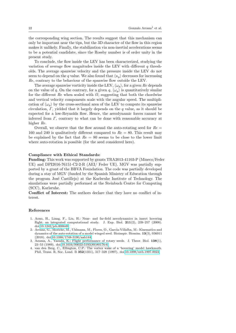the corresponding wing section. The results suggest that this mechanism can only be important near the tips, but the 3D character of the flow in this region makes it unlikely. Finally, the stabilization via non-inertial accelerations seems to be a potential candidate, since the Rossby number is of order unity in the present study.

To conclude, the flow inside the LEV has been characterized, studying the variation of average flow magnitudes inside the LEV with different  $q$  thresholds. The average spanwise velocity and the pressure inside the LEV do not seem to depend on the q value. We also found that  $\langle u_y \rangle$  decreases for increasing Re, contrary to the behaviour of the spanwise flow outside the LEV.

The average spanwise vorticity inside the LEV,  $\langle \omega_u \rangle$ , for a given Re depends on the value of q. On the contrary, for a given q,  $\langle \omega_y \rangle$  is quantitatively similar for the different Re when scaled with  $\Omega$ , suggesting that both the chordwise and vertical velocity components scale with the angular speed. The multiplication of  $\langle \omega_y \rangle$  by the cross-sectional area of the LEV to compute its spanwise circulation,  $\Gamma$ , yielded that it largely depends on the  $q$  value, as it should be expected for a low-Reynolds flow. Hence, the aerodynamic forces cannot be inferred from  $\Gamma$ , contrary to what can be done with reasonable accuracy at higher Re.

Overall, we observe that the flow around the auto-rotating seed for  $Re =$ 160 and 240 is qualitatively different compared to  $Re = 80$ . This result may be explained by the fact that  $Re = 80$  seems to be close to the lower limit where auto-rotation is possible (for the seed considered here).

#### Compliance with Ethical Standards:

Funding: This work was supported by grants TRA2013-41103-P (Mineco/Feder UE) and DPI2016-76151-C2-2-R (AEI/ Feder UE). MGV was partially supported by a grant of the BBVA Foundation. The code was partially developed during a stay of MGV (funded by the Spanish Ministry of Education through the program Jos´e Castillejo) at the Karlsruhe Institute of Technology. The simulations were partially performed at the Steinbuch Centre for Computing (SCC), Karlsruhe.

Conflict of Interest: The authors declare that they have no conflict of interest.

#### References

- <span id="page-22-3"></span>1. Aono, H., Liang, F., Liu, H.: Near- and far-field aerodynamics in insect hovering flight: an integrated computational study. J. Exp. Biol. 211(2), 239-257 (2008). doi[:10.1242/jeb.008649](https://doi.org/10.1242/jeb.008649)
- <span id="page-22-2"></span>2. Arranz, G., Moriche, M., Uhlmann, M., Flores, O., García-Villalba, M.: Kinematics and dynamics of the auto-rotation of a model winged seed. Bioinspir. Biomim. 13(3), 036011 (2018). doi[:10.1088/1748-3190/aab144](https://doi.org/10.1088/1748-3190/aab144)
- <span id="page-22-0"></span>3. Azuma, A., Yasuda, K.: Flight performance of rotary seeds. J. Theor. Biol. 138(1), 23–53 (1989). doi[:10.1016/S0022-5193\(89\)80176-6](https://doi.org/10.1016/S0022-5193(89)80176-6)
- <span id="page-22-1"></span>4. van den Berg, C., Ellington, C.P.: The vortex wake of a 'hovering' model hawkmoth. Phil. Trans. R. Soc. Lond. B 352(1351), 317–328 (1997). doi[:10.1098/rstb.1997.0023](https://doi.org/10.1098/rstb.1997.0023)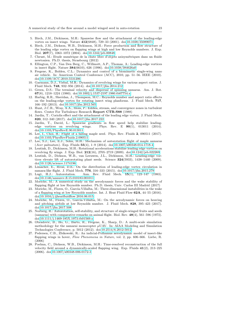- <span id="page-23-14"></span>5. Birch, J.M., Dickinson, M.H.: Spanwise flow and the attachment of the leading-edge vortex on insect wings. Nature 412(6848), 729–33 (2001). doi[:10.1038/35089071](https://doi.org/10.1038/35089071)
- <span id="page-23-15"></span>6. Birch, J.M., Dickson, W.B., Dickinson, M.H.: Force production and flow structure of the leading edge vortex on flapping wings at high and low Reynolds numbers. J. Exp. Biol. 207(7), 1063–1072 (2004). doi[:10.1242/jeb.00848](https://doi.org/10.1242/jeb.00848)
- <span id="page-23-21"></span>7. Chrust, M.: Etude numérique de la chute libre d'objets axisymétriques dans un fluide newtonien. Ph.D. thesis, Strasbourg (2012)
- <span id="page-23-5"></span>8. Ellington, C.P., Van Den Berg, C., Willmott, A.P., Thomas, A.: Leading-edge vortices in insect flight. Nature 384(6610), 626 (1996). doi[:10.1038/384626a0](https://doi.org/10.1038/384626a0)
- <span id="page-23-4"></span>9. Fregene, K., Bolden, C.L.: Dynamics and control of a biomimetic single-wing nano air vehicle. In: American Control Conference (ACC), 2010, pp. 51–56. IEEE (2010). doi[:10.1109/ACC.2010.5531206](https://doi.org/10.1109/ACC.2010.5531206)
- <span id="page-23-8"></span>10. Garmann, D.J., Visbal, M.R.: Dynamics of revolving wings for various aspect ratios. J. Fluid Mech. 748, 932–956 (2014). doi[:10.1017/jfm.2014.212](https://doi.org/10.1017/jfm.2014.212)
- <span id="page-23-1"></span>11. Green, D.S.: The terminal velocity and dispersal of spinning samaras. Am. J. Bot. 67(8), 1218–1224 (1980). doi[:10.1002/j.1537-2197.1980.tb07754.x](https://doi.org/10.1002/j.1537-2197.1980.tb07754.x)
- <span id="page-23-9"></span>12. Harbig, R.R., Sheridan, J., Thompson, M.C.: Reynolds number and aspect ratio effects on the leading-edge vortex for rotating insect wing planforms. J. Fluid Mech. 717, 166–192 (2013). doi[:10.1017/jfm.2012.565](https://doi.org/10.1017/jfm.2012.565)
- <span id="page-23-23"></span>13. Hunt, J.C.R., Wray, A.A., Moin, P.: Eddies, stream, and convergence zones in turbulent flows. Center For Turbulence Research Report CTR-S88 (1988)
- <span id="page-23-11"></span>14. Jardin, T.: Coriolis effect and the attachment of the leading edge vortex. J. Fluid Mech. 820, 312–340 (2017). doi[:10.1017/jfm.2017.222](https://doi.org/10.1017/jfm.2017.222)
- <span id="page-23-10"></span>15. Jardin, T., David, L.: Spanwise gradients in flow speed help stabilize leadingedge vortices on revolving wings. Phys. Rev. E  $90(1)$ , 013011 (2014). doi[:10.1103/PhysRevE.90.013011](https://doi.org/10.1103/PhysRevE.90.013011)
- <span id="page-23-2"></span>16. Lee, I., Choi, H.: Flight of a falling maple seed. Phys. Rev. Fluids 2, 090511 (2017). doi[:10.1103/PhysRevFluids.2.090511](https://doi.org/10.1103/PhysRevFluids.2.090511)
- <span id="page-23-7"></span>17. Lee, S.J., Lee, E.J., Sohn, M.H.: Mechanism of autorotation flight of maple samaras (Acer palmatum). Exp. Fluids 55(4), 1–9 (2014). doi[:10.1007/s00348-014-1718-4](https://doi.org/10.1007/s00348-014-1718-4)
- <span id="page-23-12"></span>18. Lentink, D., Dickinson, M.H.: Rotational accelerations stabilize leading edge vortices on revolving fly wings. J. Exp. Biol. 212(16), 2705–2719 (2009). doi[:10.1242/jeb.022269](https://doi.org/10.1242/jeb.022269)
- <span id="page-23-6"></span>19. Lentink, D., Dickson, W.B., van Leeuwen, J.L., Dickinson, M.H.: Leading-edge vortices elevate lift of autorotating plant seeds. Science 324(5933), 1438–1440 (2009). doi[:10.1126/science.1174196](https://doi.org/10.1126/science.1174196)
- <span id="page-23-13"></span>20. Limacher, E., Rival, D.E.: On the distribution of leading-edge vortex circulation in samara-like flight. J. Fluid Mech. 776, 316–333 (2015). doi[:10.1017/jfm.2015.279](https://doi.org/10.1017/jfm.2015.279)
- <span id="page-23-17"></span>21. Lugt, H.J.: Autorotation. Ann. Rev. Fluid Mech. 15(1), 123–147 (1983). doi[:10.1146/annurev.fl.15.010183.001011](https://doi.org/10.1146/annurev.fl.15.010183.001011)
- <span id="page-23-18"></span>22. Moriche, M.: A numerical study on the aerodynamic forces and the wake stability of flapping flight at low Reynolds number. Ph.D. thesis, Univ. Carlos III Madrid (2017)
- <span id="page-23-20"></span>23. Moriche, M., Flores, O., García-Villalba, M.: Three-dimensional instabilities in the wake of a flapping wing at low Reynolds number. Int. J. Heat Fluid Flow 62A, 44–55 (2016). doi[:10.1016/j.ijheatfluidflow.2016.06.015](https://doi.org/10.1016/j.ijheatfluidflow.2016.06.015)
- <span id="page-23-19"></span>24. Moriche, M., Flores, O., García-Villalba, M.: On the aerodynamic forces on heaving and pitching airfoils at low Reynolds number. J. Fluid Mech. 828, 395–423 (2017). doi[:10.1017/jfm.2017.508](https://doi.org/10.1017/jfm.2017.508)
- <span id="page-23-0"></span>25. Norberg, R.: Autorotation, self-stability, and structure of single-winged fruits and seeds (samaras) with comparative remarks on animal flight. Biol. Rev. 48(4), 561–596 (1973). doi[:10.1111/j.1469-185X.1973.tb01569.x](https://doi.org/10.1111/j.1469-185X.1973.tb01569.x)
- <span id="page-23-3"></span>26. Obradovic, B., Ho, G., Barto, R., Fregene, K., Sharp, D.: A multi-scale simulation methodology for the samarai monocopter  $\mu$ UAV. In: AIAA Modeling and Simulation Technologies Conference, p. 5012 (2012). doi[:10.2514/6.2012-5012](https://doi.org/10.2514/6.2012-5012)
- <span id="page-23-22"></span>27. Pedersen, C.B., Zbikowski, R.: An indicial-Polhamus aerodynamic model of insect-like flapping wings in hover, Flow Phenomena in Nature, vol. 2, pp. 606–666. Liebe, R. (2006)
- <span id="page-23-16"></span>28. Poelma, C., Dickson, W.B., Dickinson, M.H.: Time-resolved reconstruction of the full velocity field around a dynamically-scaled flapping wing. Exp. Fluids 41(2), 213–225 (2006). doi[:10.1007/s00348-006-0172-3](https://doi.org/10.1007/s00348-006-0172-3)